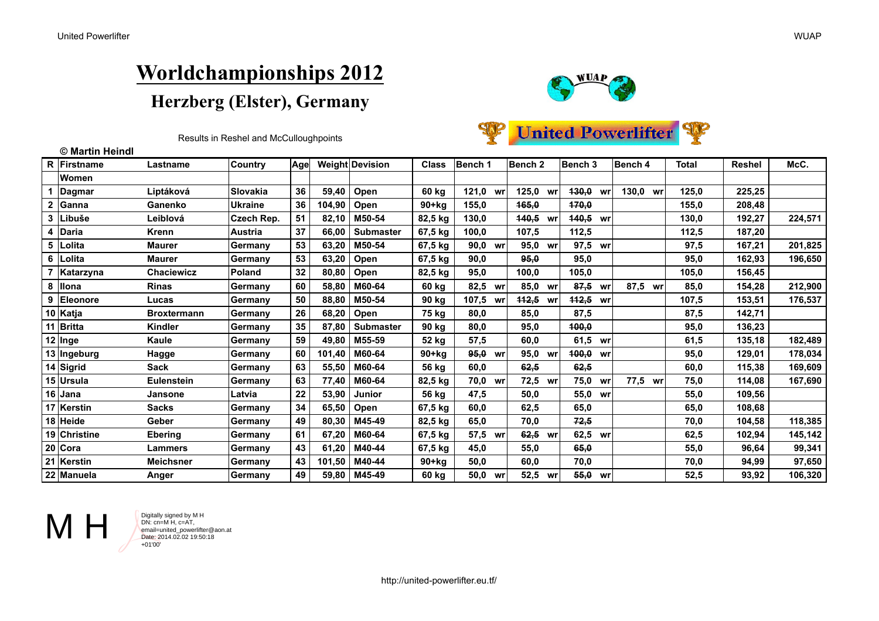

Results in Reshel and McCulloughpoints

|  | <b>WP</b> United Powerlifter |  |
|--|------------------------------|--|
|--|------------------------------|--|

|   | © Martin Heindl  |                    |                |     |        |                  |              |          |    |                    |    |             |             |       |               |         |
|---|------------------|--------------------|----------------|-----|--------|------------------|--------------|----------|----|--------------------|----|-------------|-------------|-------|---------------|---------|
|   | R Firstname      | Lastname           | <b>Country</b> | Age |        | Weight Devision  | <b>Class</b> | Bench 1  |    | Bench <sub>2</sub> |    | Bench 3     | Bench 4     | Total | <b>Reshel</b> | McC.    |
|   | Women            |                    |                |     |        |                  |              |          |    |                    |    |             |             |       |               |         |
|   | Dagmar           | Liptáková          | Slovakia       | 36  | 59,40  | Open             | 60 kg        | 121.0    | wr | 125,0<br>wr        |    | 430,0<br>wr | 130,0<br>wr | 125,0 | 225,25        |         |
|   | Ganna            | Ganenko            | <b>Ukraine</b> | 36  | 104,90 | Open             | $90+kg$      | 155,0    |    | 165,0              |    | 470,0       |             | 155,0 | 208,48        |         |
| 3 | <b>Libuše</b>    | Leiblová           | Czech Rep.     | 51  | 82,10  | M50-54           | 82,5 kg      | 130,0    |    | <b>140,5</b><br>wr |    | 140,5 wr    |             | 130,0 | 192,27        | 224,571 |
|   | Daria            | Krenn              | Austria        | 37  | 66,00  | <b>Submaster</b> | 67,5 kg      | 100,0    |    | 107,5              |    | 112,5       |             | 112,5 | 187,20        |         |
| 5 | Lolita           | <b>Maurer</b>      | Germany        | 53  | 63,20  | M50-54           | 67,5 kg      | 90,0 wr  |    | 95,0<br>wr         |    | 97,5 wr     |             | 97,5  | 167,21        | 201,825 |
| 6 | Lolita           | <b>Maurer</b>      | Germany        | 53  | 63,20  | Open             | 67,5 kg      | 90,0     |    | 95,0               |    | 95,0        |             | 95,0  | 162,93        | 196,650 |
|   | Katarzyna        | Chaciewicz         | <b>Poland</b>  | 32  | 80,80  | Open             | 82,5 kg      | 95,0     |    | 100,0              |    | 105,0       |             | 105,0 | 156,45        |         |
| 8 | <b>Illona</b>    | <b>Rinas</b>       | Germany        | 60  | 58,80  | M60-64           | 60 kg        | 82,5     | wr | 85,0<br>wr         |    | 87,5<br>wr  | 87,5<br>wr  | 85,0  | 154,28        | 212,900 |
| 9 | <b>IEleonore</b> | Lucas              | Germany        | 50  | 88,80  | M50-54           | 90 kg        | 107,5 wr |    | 112,5<br>WI        |    | 112,5<br>wr |             | 107,5 | 153,51        | 176,537 |
|   | 10 Katja         | <b>Broxtermann</b> | Germany        | 26  | 68,20  | Open             | 75 kg        | 80,0     |    | 85,0               |    | 87,5        |             | 87,5  | 142,71        |         |
|   | Britta           | <b>Kindler</b>     | Germany        | 35  | 87,80  | <b>Submaster</b> | 90 kg        | 80,0     |    | 95,0               |    | 400,0       |             | 95,0  | 136,23        |         |
|   | 12 Inge          | Kaule              | Germany        | 59  | 49,80  | M55-59           | 52 kg        | 57,5     |    | 60,0               |    | 61,5 wr     |             | 61,5  | 135,18        | 182,489 |
|   | 13 Ingeburg      | Hagge              | Germany        | 60  | 101,40 | M60-64           | $90+kg$      | 95,0     | wr | 95,0<br>WI         |    | 400,0<br>wr |             | 95,0  | 129,01        | 178,034 |
|   | 14 Sigrid        | <b>Sack</b>        | Germany        | 63  | 55,50  | M60-64           | 56 kg        | 60,0     |    | 62,5               |    | 62,5        |             | 60,0  | 115.38        | 169,609 |
|   | 15 Ursula        | Eulenstein         | Germany        | 63  | 77,40  | M60-64           | 82,5 kg      | 70,0 wr  |    | 72,5<br>wr         |    | 75,0<br>wr  | 77,5<br>wr  | 75,0  | 114,08        | 167,690 |
|   | 16  Jana         | Jansone            | Latvia         | 22  | 53,90  | <b>Junior</b>    | 56 kg        | 47,5     |    | 50,0               |    | 55,0<br>wr  |             | 55,0  | 109.56        |         |
|   | 17 Kerstin       | <b>Sacks</b>       | Germany        | 34  | 65,50  | Open             | 67,5 kg      | 60,0     |    | 62,5               |    | 65,0        |             | 65,0  | 108,68        |         |
|   | 18 Heide         | Geber              | Germany        | 49  | 80,30  | M45-49           | 82,5 kg      | 65,0     |    | 70,0               |    | 72,5        |             | 70,0  | 104.58        | 118,385 |
|   | 19 Christine     | <b>Ebering</b>     | Germany        | 61  | 67,20  | M60-64           | 67,5 kg      | 57,5     | wr | 62,5<br>wr         |    | 62,5 wr     |             | 62,5  | 102,94        | 145,142 |
|   | $20$ Cora        | Lammers            | Germany        | 43  | 61,20  | M40-44           | 67,5 kg      | 45,0     |    | 55,0               |    | 65,0        |             | 55,0  | 96.64         | 99,341  |
|   | 21   Kerstin     | <b>Meichsner</b>   | Germany        | 43  | 101,50 | M40-44           | $90+kg$      | 50,0     |    | 60,0               |    | 70,0        |             | 70,0  | 94,99         | 97,650  |
|   | 22 Manuela       | Anger              | Germany        | 49  | 59.80  | M45-49           | 60 kg        | 50.0     | wr | 52,5               | wr | 55.0<br>wr  |             | 52.5  | 93.92         | 106,320 |



DN: cn=M H, c=AT, email=united\_powerlifter@aon.at Date: 2014.02.02 19:50:18 +01'00'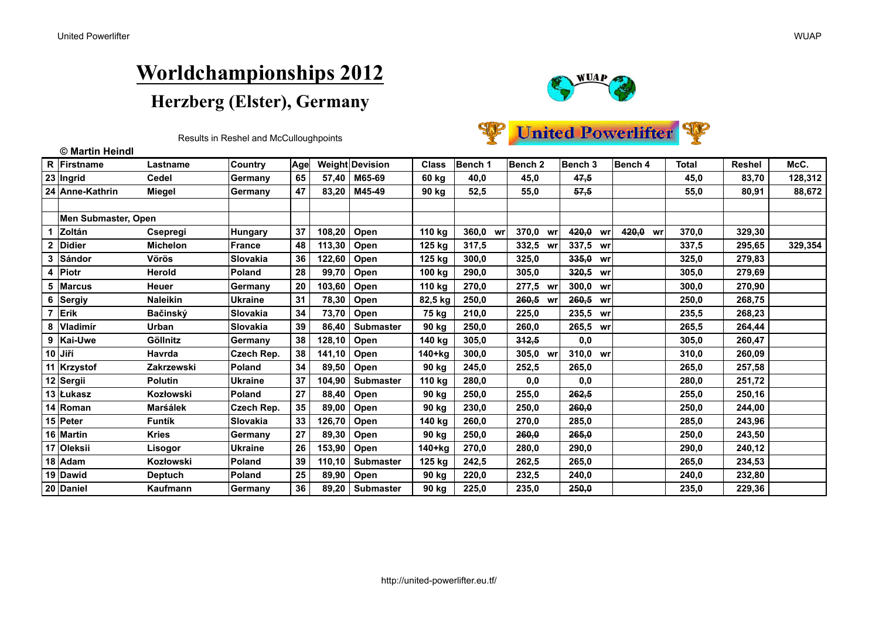

| Results in Reshel and McCulloughpoints |
|----------------------------------------|
|----------------------------------------|

|  | United Powerlifter |  |
|--|--------------------|--|
|--|--------------------|--|

|                | © Martin Heindl     |                 |                   |     |        |                   |              |             |                    |             |          |              |        |         |
|----------------|---------------------|-----------------|-------------------|-----|--------|-------------------|--------------|-------------|--------------------|-------------|----------|--------------|--------|---------|
| $\mathsf{R}$   | Firstname           | Lastname        | <b>Country</b>    | Age |        | Weight Devision   | <b>Class</b> | Bench 1     | Bench <sub>2</sub> | Bench 3     | Bench 4  | <b>Total</b> | Reshel | McC.    |
|                | 23 Ingrid           | <b>Cedel</b>    | Germany           | 65  | 57.40  | M65-69            | 60 kg        | 40,0        | 45,0               | 47,5        |          | 45,0         | 83,70  | 128,312 |
|                | 24 Anne-Kathrin     | <b>Miegel</b>   | Germany           | 47  | 83.20  | M45-49            | 90 kg        | 52,5        | 55,0               | 57,5        |          | 55,0         | 80,91  | 88,672  |
|                |                     |                 |                   |     |        |                   |              |             |                    |             |          |              |        |         |
|                | Men Submaster, Open |                 |                   |     |        |                   |              |             |                    |             |          |              |        |         |
| 1              | Zoltán              | <b>Csepregi</b> | Hungary           | 37  | 108,20 | Open              | 110 kg       | 360.0<br>wr | 370,0<br><b>WI</b> | 420.0<br>wr | 420.0 wr | 370.0        | 329,30 |         |
| $\mathbf{2}$   | <b>Didier</b>       | <b>Michelon</b> | France            | 48  | 113,30 | Open              | 125 kg       | 317,5       | 332,5<br>W         | 337,5 wr    |          | 337,5        | 295,65 | 329,354 |
| 3              | Sándor              | Vörös           | Slovakia          | 36  | 122,60 | Open              | 125 kg       | 300,0       | 325,0              | 335,0 wr    |          | 325,0        | 279,83 |         |
| 4              | Piotr               | Herold          | <b>Poland</b>     | 28  | 99,70  | Open              | 100 kg       | 290,0       | 305,0              | 320,5 wr    |          | 305,0        | 279,69 |         |
| 5              | <b>Marcus</b>       | Heuer           | Germany           | 20  | 103,60 | Open              | 110 kg       | 270,0       | 277,5 WI           | 300,0 wr    |          | 300,0        | 270,90 |         |
| 6              | Sergiy              | <b>Naleikin</b> | <b>Ukraine</b>    | 31  | 78,30  | Open              | 82,5 kg      | 250,0       | 260,5 WI           | 260,5 wr    |          | 250,0        | 268,75 |         |
| $\overline{7}$ | Erik                | Bačinský        | Slovakia          | 34  | 73,70  | Open              | 75 kg        | 210,0       | 225,0              | 235,5 wr    |          | 235,5        | 268,23 |         |
| 8              | <b>lVladimír</b>    | <b>Urban</b>    | <b>Slovakia</b>   | 39  | 86.40  | <b>Submaster</b>  | 90 kg        | 250,0       | 260,0              | 265,5 wr    |          | 265,5        | 264,44 |         |
|                | 9 Kai-Uwe           | Göllnitz        | Germany           | 38  | 128,10 | Open              | 140 kg       | 305,0       | 342,5              | 0,0         |          | 305,0        | 260,47 |         |
|                | $10$ Jiří           | <b>Havrda</b>   | Czech Rep.        | 38  | 141,10 | Open              | 140+kg       | 300.0       | 305,0<br>W         | 310,0 wr    |          | 310,0        | 260,09 |         |
|                | 11 Krzystof         | Zakrzewski      | Poland            | 34  | 89,50  | Open              | 90 kg        | 245.0       | 252,5              | 265,0       |          | 265.0        | 257.58 |         |
|                | 12 Sergii           | <b>Polutin</b>  | <b>Ukraine</b>    | 37  | 104,90 | <b>Submaster</b>  | 110 kg       | 280,0       | 0,0                | 0,0         |          | 280,0        | 251,72 |         |
|                | 13 Łukasz           | Kozłowski       | <b>Poland</b>     | 27  | 88,40  | Open              | 90 kg        | 250,0       | 255,0              | 262,5       |          | 255,0        | 250,16 |         |
| 14             | Roman               | Marśálek        | <b>Czech Rep.</b> | 35  | 89,00  | Open              | 90 kg        | 230,0       | 250,0              | 260,0       |          | 250,0        | 244,00 |         |
|                | 15 Peter            | <b>Funtík</b>   | <b>Slovakia</b>   | 33  | 126,70 | Open              | 140 kg       | 260,0       | 270,0              | 285,0       |          | 285,0        | 243,96 |         |
|                | 16 Martin           | <b>Kries</b>    | Germany           | 27  | 89,30  | Open              | 90 kg        | 250,0       | 260.0              | 265,0       |          | 250,0        | 243,50 |         |
| 17             | Oleksii             | Lisogor         | Ukraine           | 26  | 153,90 | Open              | $140+kg$     | 270,0       | 280,0              | 290,0       |          | 290,0        | 240,12 |         |
|                | $18$ Adam           | Kozłowski       | Poland            | 39  | 110,10 | <b>Submaster</b>  | 125 kg       | 242,5       | 262,5              | 265,0       |          | 265,0        | 234,53 |         |
|                | 19 Dawid            | <b>Deptuch</b>  | Poland            | 25  | 89,90  | Open              | 90 kg        | 220,0       | 232,5              | 240,0       |          | 240,0        | 232,80 |         |
|                | 20 Daniel           | Kaufmann        | Germany           | 36  |        | 89,20   Submaster | 90 kg        | 225,0       | 235,0              | 250,0       |          | 235,0        | 229,36 |         |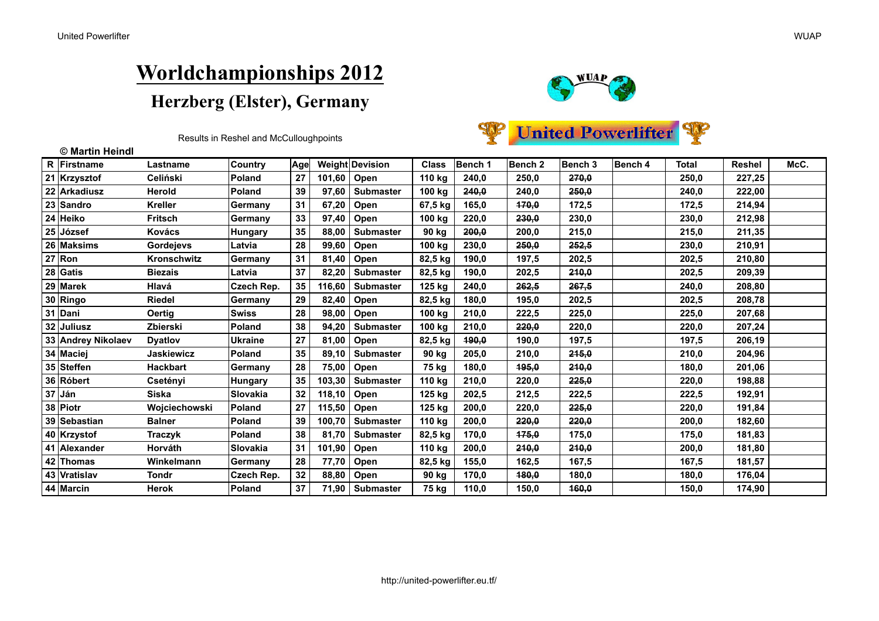

|  | <b>United Powerlifter</b> |  |
|--|---------------------------|--|
|--|---------------------------|--|

| © Martin Heindl    |                    |                 |     |        |                  |              |         |                    |         |         |              |               |      |
|--------------------|--------------------|-----------------|-----|--------|------------------|--------------|---------|--------------------|---------|---------|--------------|---------------|------|
| R Firstname        | Lastname           | <b>Country</b>  | Age |        | Weight Devision  | <b>Class</b> | Bench 1 | Bench <sub>2</sub> | Bench 3 | Bench 4 | <b>Total</b> | <b>Reshel</b> | McC. |
| 21 Krzysztof       | <b>Celiński</b>    | <b>Poland</b>   | 27  | 101,60 | Open             | 110 kg       | 240,0   | 250,0              | 270,0   |         | 250,0        | 227,25        |      |
| 22 Arkadiusz       | Herold             | Poland          | 39  | 97,60  | <b>Submaster</b> | 100 kg       | 240,0   | 240,0              | 250,0   |         | 240,0        | 222,00        |      |
| 23 Sandro          | <b>Kreller</b>     | Germany         | 31  | 67,20  | Open             | 67,5 kg      | 165,0   | 470,0              | 172,5   |         | 172,5        | 214,94        |      |
| 24 Heiko           | Fritsch            | Germany         | 33  | 97,40  | Open             | 100 kg       | 220,0   | 230,0              | 230,0   |         | 230,0        | 212,98        |      |
| 25 József          | <b>Kovács</b>      | <b>Hungary</b>  | 35  | 88,00  | <b>Submaster</b> | 90 kg        | 200,0   | 200,0              | 215,0   |         | 215,0        | 211,35        |      |
| 26 Maksims         | <b>Gordejevs</b>   | Latvia          | 28  | 99,60  | Open             | 100 kg       | 230,0   | 250,0              | 252,5   |         | 230,0        | 210,91        |      |
| $27$ Ron           | <b>Kronschwitz</b> | Germany         | 31  | 81,40  | Open             | 82,5 kg      | 190,0   | 197,5              | 202,5   |         | 202,5        | 210,80        |      |
| $28$ Gatis         | <b>Biezais</b>     | Latvia          | 37  | 82,20  | <b>Submaster</b> | 82,5 kg      | 190,0   | 202,5              | 240,0   |         | 202,5        | 209,39        |      |
| 29 Marek           | Hlavá              | Czech Rep.      | 35  | 116,60 | <b>Submaster</b> | 125 kg       | 240,0   | 262,5              | 267,5   |         | 240.0        | 208.80        |      |
| 30 Ringo           | <b>Riedel</b>      | Germany         | 29  | 82,40  | Open             | 82,5 kg      | 180,0   | 195,0              | 202,5   |         | 202,5        | 208,78        |      |
| 31 Dani            | Oertig             | <b>Swiss</b>    | 28  | 98,00  | Open             | 100 kg       | 210,0   | 222,5              | 225,0   |         | 225,0        | 207,68        |      |
| 32 Juliusz         | Zbierski           | <b>Poland</b>   | 38  | 94,20  | <b>Submaster</b> | 100 kg       | 210,0   | 220,0              | 220,0   |         | 220,0        | 207,24        |      |
| 33 Andrey Nikolaev | <b>Dyatlov</b>     | <b>IUkraine</b> | 27  | 81,00  | Open             | 82,5 kg      | 190.0   | 190,0              | 197,5   |         | 197,5        | 206,19        |      |
| 34 Maciej          | Jaskiewicz         | <b>Poland</b>   | 35  | 89,10  | <b>Submaster</b> | 90 kg        | 205,0   | 210,0              | 245,0   |         | 210,0        | 204,96        |      |
| 35 Steffen         | <b>Hackbart</b>    | Germany         | 28  | 75,00  | Open             | 75 kg        | 180,0   | 195,0              | 210,0   |         | 180,0        | 201,06        |      |
| 36 Róbert          | Csetényi           | <b>Hungary</b>  | 35  | 103,30 | <b>Submaster</b> | 110 kg       | 210,0   | 220,0              | 225,0   |         | 220,0        | 198.88        |      |
| $37$ Ján           | <b>Siska</b>       | Slovakia        | 32  | 118,10 | Open             | 125 kg       | 202,5   | 212,5              | 222,5   |         | 222,5        | 192,91        |      |
| 38 Piotr           | Wojciechowski      | Poland          | 27  | 115,50 | Open             | 125 kg       | 200,0   | 220,0              | 225,0   |         | 220,0        | 191,84        |      |
| 39 Sebastian       | <b>Balner</b>      | Poland          | 39  | 100,70 | <b>Submaster</b> | 110 kg       | 200,0   | 220,0              | 220,0   |         | 200,0        | 182,60        |      |
| 40 Krzystof        | Traczyk            | Poland          | 38  | 81,70  | <b>Submaster</b> | 82,5 kg      | 170,0   | 475.0              | 175,0   |         | 175,0        | 181,83        |      |
| 41 Alexander       | Horváth            | <b>Slovakia</b> | 31  | 101,90 | Open             | 110 kg       | 200,0   | 210,0              | 210,0   |         | 200,0        | 181,80        |      |
| 42 Thomas          | Winkelmann         | Germany         | 28  | 77,70  | Open             | 82,5 kg      | 155,0   | 162,5              | 167,5   |         | 167,5        | 181,57        |      |
| 43 Vratislav       | <b>Tondr</b>       | Czech Rep.      | 32  | 88,80  | Open             | 90 kg        | 170,0   | 480,0              | 180,0   |         | 180,0        | 176,04        |      |
| 44 Marcin          | Herok              | Poland          | 37  | 71,90  | <b>Submaster</b> | 75 kg        | 110,0   | 150,0              | 160,0   |         | 150,0        | 174,90        |      |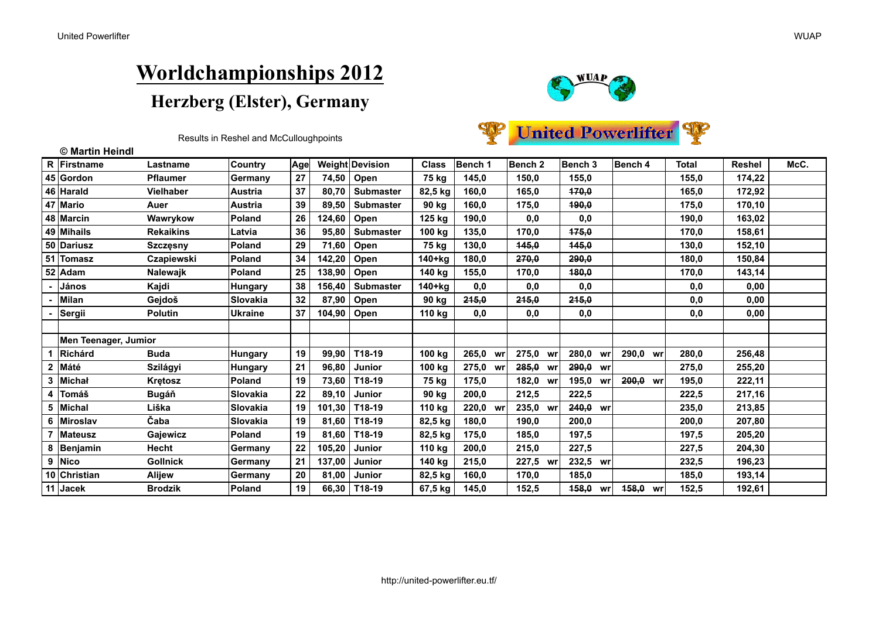



|  | <b>Jnited Powerlifter</b> |  |
|--|---------------------------|--|
|--|---------------------------|--|

|                | © Martin Heindl      |                   |                |     |        |                  |              |             |                    |             |             |              |               |      |
|----------------|----------------------|-------------------|----------------|-----|--------|------------------|--------------|-------------|--------------------|-------------|-------------|--------------|---------------|------|
|                | R Firstname          | Lastname          | <b>Country</b> | Age |        | Weight Devision  | <b>Class</b> | Bench 1     | Bench <sub>2</sub> | Bench 3     | Bench 4     | <b>Total</b> | <b>Reshel</b> | McC. |
|                | 45 Gordon            | <b>Pflaumer</b>   | Germany        | 27  | 74,50  | Open             | 75 kg        | 145,0       | 150,0              | 155,0       |             | 155,0        | 174,22        |      |
|                | 46 Harald            | Vielhaber         | <b>Austria</b> | 37  | 80.70  | <b>Submaster</b> | 82,5 kg      | 160,0       | 165,0              | 470.0       |             | 165.0        | 172,92        |      |
|                | 47 Mario             | Auer              | <b>Austria</b> | 39  | 89,50  | <b>Submaster</b> | 90 kg        | 160,0       | 175,0              | 490,0       |             | 175,0        | 170,10        |      |
|                | 48 Marcin            | Wawrykow          | <b>Poland</b>  | 26  | 124,60 | Open             | 125 kg       | 190,0       | 0,0                | 0,0         |             | 190,0        | 163,02        |      |
|                | 49 Mihails           | <b>Rekaikins</b>  | <b>Latvia</b>  | 36  | 95,80  | <b>Submaster</b> | 100 kg       | 135,0       | 170,0              | 475.0       |             | 170.0        | 158.61        |      |
|                | 50 Dariusz           | <b>Szczęsny</b>   | <b>Poland</b>  | 29  | 71,60  | Open             | 75 kg        | 130,0       | 145,0              | 445,0       |             | 130,0        | 152,10        |      |
|                | 51 Tomasz            | <b>Czapiewski</b> | <b>Poland</b>  | 34  | 142,20 | Open             | 140+kg       | 180,0       | 270.0              | 290.0       |             | 180.0        | 150.84        |      |
| 52             | Adam                 | Nalewajk          | Poland         | 25  | 138,90 | Open             | 140 kg       | 155,0       | 170,0              | 480,0       |             | 170,0        | 143,14        |      |
|                | János                | Kajdi             | Hungary        | 38  | 156.40 | <b>Submaster</b> | $140+kg$     | 0,0         | 0,0                | 0,0         |             | 0,0          | 0.00          |      |
|                | <b>Milan</b>         | Gejdoš            | Slovakia       | 32  | 87,90  | Open             | 90 kg        | 245,0       | 245,0              | 245,0       |             | 0,0          | 0,00          |      |
|                | Sergii               | <b>Polutin</b>    | Ukraine        | 37  | 104,90 | Open             | 110 kg       | 0,0         | 0,0                | 0,0         |             | 0,0          | 0,00          |      |
|                |                      |                   |                |     |        |                  |              |             |                    |             |             |              |               |      |
|                | Men Teenager, Jumior |                   |                |     |        |                  |              |             |                    |             |             |              |               |      |
|                | Richárd              | <b>Buda</b>       | <b>Hungary</b> | 19  | 99,90  | T18-19           | 100 kg       | 265,0 wr    | 275,0 wr           | 280,0<br>wr | 290,0 wr    | 280,0        | 256,48        |      |
| $\overline{2}$ | Máté                 | Szilágyi          | <b>Hungary</b> | 21  | 96,80  | Junior           | 100 kg       | 275,0<br>wr | 285,0<br>wr        | 290,0<br>wr |             | 275,0        | 255,20        |      |
|                | 3 Michał             | <b>Kretosz</b>    | <b>Poland</b>  | 19  | 73,60  | T18-19           | 75 kg        | 175,0       | 182,0<br>wr        | 195,0<br>wr | 200,0<br>wr | 195,0        | 222,11        |      |
| 4              | Tomáš                | Bugáň             | ISlovakia      | 22  | 89,10  | Junior           | 90 kg        | 200,0       | 212,5              | 222,5       |             | 222,5        | 217,16        |      |
|                | 5 Michal             | Liška             | ISlovakia      | 19  | 101,30 | T18-19           | 110 kg       | 220,0 wr    | 235,0 wr           | 240.0 wr    |             | 235.0        | 213,85        |      |
|                | 6 Miroslav           | Čaba              | ISlovakia      | 19  | 81,60  | T18-19           | 82,5 kg      | 180,0       | 190,0              | 200,0       |             | 200,0        | 207,80        |      |
|                | 7 Mateusz            | Gajewicz          | <b>Poland</b>  | 19  | 81.60  | T18-19           | 82,5 kg      | 175,0       | 185.0              | 197,5       |             | 197,5        | 205.20        |      |
|                | 8 Benjamin           | Hecht             | Germany        | 22  | 105,20 | <b>Junior</b>    | 110 kg       | 200,0       | 215,0              | 227,5       |             | 227,5        | 204,30        |      |
|                | 9 Nico               | <b>Gollnick</b>   | Germany        | 21  | 137,00 | Junior           | 140 kg       | 215,0       | 227,5 wr           | 232,5 wr    |             | 232,5        | 196.23        |      |
|                | 10 Christian         | <b>Alijew</b>     | Germany        | 20  | 81,00  | Junior           | 82,5 kg      | 160,0       | 170,0              | 185,0       |             | 185,0        | 193,14        |      |
|                | 11 Jacek             | <b>Brodzik</b>    | <b>Poland</b>  | 19  |        | 66,30   T18-19   | 67,5 kg      | 145,0       | 152,5              | 458,0<br>wr | 458,0<br>wr | 152,5        | 192,61        |      |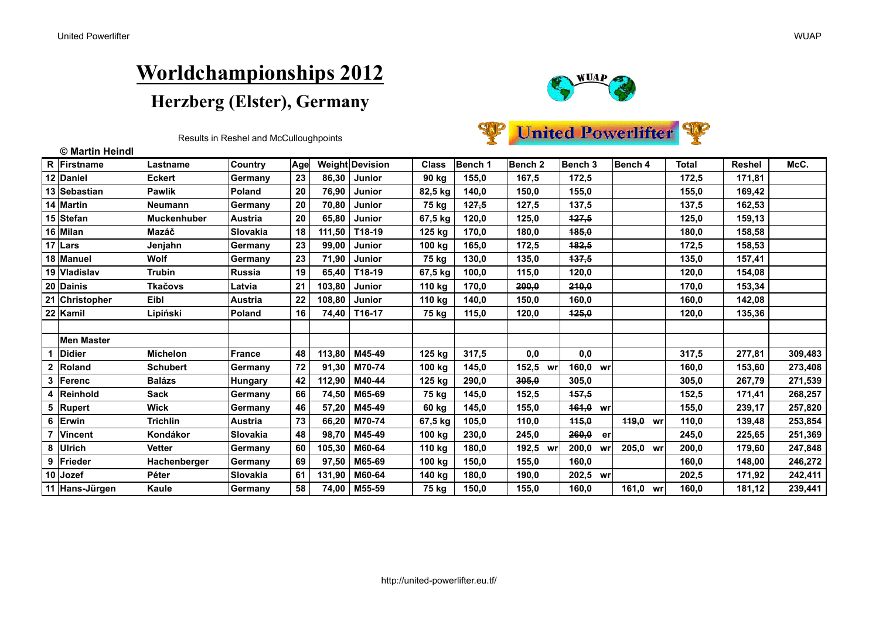

**United Powerlifter** 

|                | © Martin Heindl    |                    |                 |     |        |                 |              |         |                    |              |             |              |        |         |
|----------------|--------------------|--------------------|-----------------|-----|--------|-----------------|--------------|---------|--------------------|--------------|-------------|--------------|--------|---------|
|                | <b>R</b> Firstname | Lastname           | <b>Country</b>  | Age |        | Weight Devision | <b>Class</b> | Bench 1 | Bench <sub>2</sub> | Bench 3      | Bench 4     | <b>Total</b> | Reshel | McC.    |
|                | 12 Daniel          | <b>Eckert</b>      | Germany         | 23  | 86,30  | Junior          | 90 kg        | 155,0   | 167,5              | 172,5        |             | 172,5        | 171,81 |         |
|                | 13 Sebastian       | <b>Pawlik</b>      | Poland          | 20  | 76,90  | Junior          | 82,5 kg      | 140,0   | 150,0              | 155,0        |             | 155,0        | 169,42 |         |
|                | 14 Martin          | <b>Neumann</b>     | Germany         | 20  | 70,80  | Junior          | 75 kg        | 127,5   | 127,5              | 137,5        |             | 137,5        | 162,53 |         |
|                | 15 Stefan          | <b>Muckenhuber</b> | <b>Austria</b>  | 20  | 65,80  | Junior          | 67,5 kg      | 120,0   | 125,0              | 127.5        |             | 125,0        | 159,13 |         |
|                | 16 Milan           | Mazáč              | <b>Slovakia</b> | 18  | 111,50 | T18-19          | 125 kg       | 170,0   | 180,0              | 185,0        |             | 180,0        | 158,58 |         |
|                | 17 $\lfloor$ Lars  | Jenjahn            | Germany         | 23  | 99,00  | <b>Junior</b>   | 100 kg       | 165,0   | 172,5              | <b>182.5</b> |             | 172,5        | 158.53 |         |
|                | 18 Manuel          | Wolf               | Germany         | 23  | 71,90  | Junior          | 75 kg        | 130,0   | 135,0              | 137,5        |             | 135.0        | 157,41 |         |
|                | 19 Vladislav       | Trubin             | <b>Russia</b>   | 19  | 65,40  | T18-19          | 67,5 kg      | 100,0   | 115,0              | 120,0        |             | 120,0        | 154,08 |         |
|                | 20 Dainis          | <b>Tkačovs</b>     | Latvia          | 21  | 103,80 | Junior          | 110 kg       | 170,0   | 200.0              | 210.0        |             | 170.0        | 153,34 |         |
|                | 21 Christopher     | Eibl               | <b>Austria</b>  | 22  | 108,80 | Junior          | 110 kg       | 140,0   | 150,0              | 160,0        |             | 160,0        | 142,08 |         |
|                | 22 Kamil           | Lipiński           | Poland          | 16  | 74,40  | T16-17          | 75 kg        | 115,0   | 120,0              | 425,0        |             | 120,0        | 135,36 |         |
|                |                    |                    |                 |     |        |                 |              |         |                    |              |             |              |        |         |
|                | <b>Men Master</b>  |                    |                 |     |        |                 |              |         |                    |              |             |              |        |         |
|                | <b>Didier</b>      | <b>Michelon</b>    | <b>France</b>   | 48  | 113,80 | M45-49          | 125 kg       | 317,5   | 0,0                | 0,0          |             | 317,5        | 277,81 | 309,483 |
|                | 2 Roland           | <b>Schubert</b>    | Germany         | 72  | 91,30  | M70-74          | 100 kg       | 145,0   | 152,5<br>wr        | 160,0 wr     |             | 160,0        | 153,60 | 273,408 |
| 3              | <b>IFerenc</b>     | <b>Balázs</b>      | <b>Hungary</b>  | 42  | 112,90 | M40-44          | 125 kg       | 290,0   | 305.0              | 305,0        |             | 305.0        | 267,79 | 271,539 |
|                | 4 Reinhold         | Sack               | Germany         | 66  | 74,50  | M65-69          | 75 kg        | 145,0   | 152,5              | <b>457.5</b> |             | 152,5        | 171,41 | 268,257 |
|                | 5 Rupert           | <b>Wick</b>        | Germany         | 46  | 57,20  | M45-49          | 60 kg        | 145,0   | 155,0              | 461,0 wr     |             | 155,0        | 239,17 | 257,820 |
| 6              | Erwin              | <b>Trichlin</b>    | <b>Austria</b>  | 73  | 66,20  | M70-74          | 67,5 kg      | 105,0   | 110,0              | 115,0        | 449,0<br>wr | 110,0        | 139,48 | 253,854 |
| $\overline{7}$ | <b>Vincent</b>     | Kondákor           | <b>Slovakia</b> | 48  | 98,70  | M45-49          | 100 kg       | 230,0   | 245,0              | 260,0<br>er  |             | 245,0        | 225,65 | 251,369 |
|                | 8 Ulrich           | <b>Vetter</b>      | Germany         | 60  | 105,30 | M60-64          | 110 kg       | 180,0   | 192,5<br>wr        | 200,0<br>wr  | 205,0<br>wr | 200,0        | 179,60 | 247,848 |
|                | 9 Frieder          | Hachenberger       | Germany         | 69  | 97,50  | M65-69          | 100 kg       | 150,0   | 155,0              | 160,0        |             | 160,0        | 148,00 | 246,272 |
|                | 10 Jozef           | Péter              | Slovakia        | 61  | 131,90 | M60-64          | 140 kg       | 180,0   | 190,0              | 202,5 wr     |             | 202,5        | 171,92 | 242,411 |
|                | 11 Hans-Jürgen     | Kaule              | Germany         | 58  |        | 74,00   M55-59  | 75 kg        | 150,0   | 155,0              | 160,0        | 161,0<br>wr | 160.0        | 181,12 | 239,441 |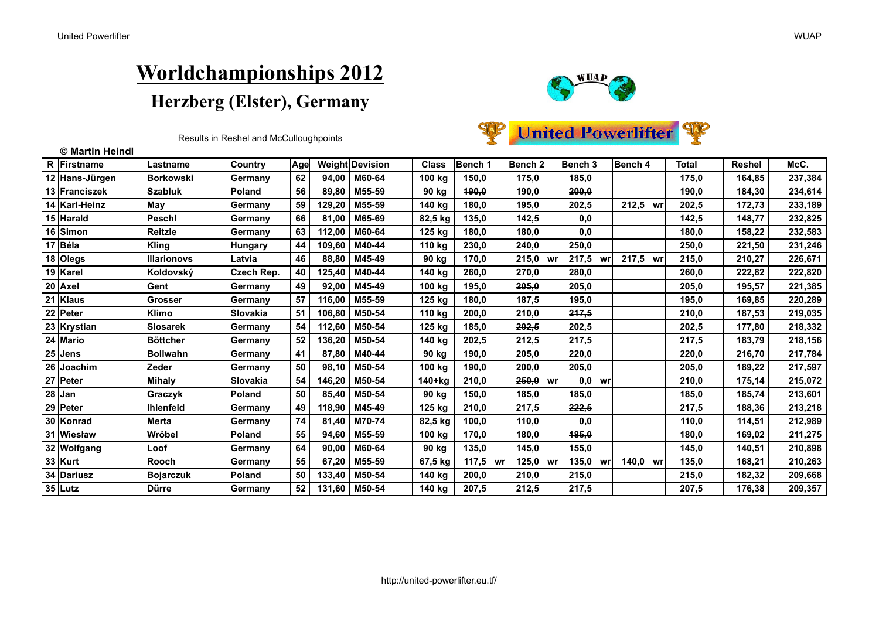



| © Martin Heindl |                    |                |     |        |                 |              |                |                    |             |             |              |               |         |
|-----------------|--------------------|----------------|-----|--------|-----------------|--------------|----------------|--------------------|-------------|-------------|--------------|---------------|---------|
| R Firstname     | Lastname           | Country        | Age |        | Weight Devision | <b>Class</b> | <b>Bench 1</b> | Bench <sub>2</sub> | Bench 3     | Bench 4     | <b>Total</b> | <b>Reshel</b> | McC.    |
| 12 Hans-Jürgen  | <b>Borkowski</b>   | Germany        | 62  | 94,00  | M60-64          | 100 kg       | 150,0          | 175,0              | 185,0       |             | 175,0        | 164,85        | 237,384 |
| 13 Franciszek   | <b>Szabluk</b>     | <b>Poland</b>  | 56  | 89.80  | M55-59          | 90 kg        | 190,0          | 190,0              | 200.0       |             | 190.0        | 184,30        | 234,614 |
| 14 Karl-Heinz   | May                | Germany        | 59  | 129,20 | M55-59          | 140 kg       | 180,0          | 195,0              | 202,5       | 212,5<br>wr | 202,5        | 172,73        | 233,189 |
| 15 Harald       | <b>Peschl</b>      | Germany        | 66  | 81.00  | M65-69          | 82,5 kg      | 135,0          | 142,5              | 0,0         |             | 142,5        | 148,77        | 232,825 |
| 16 Simon        | <b>Reitzle</b>     | Germany        | 63  | 112,00 | M60-64          | 125 kg       | 180.0          | 180,0              | 0,0         |             | 180,0        | 158.22        | 232,583 |
| 17 Béla         | Kling              | <b>Hungary</b> | 44  | 109,60 | M40-44          | 110 kg       | 230,0          | 240,0              | 250,0       |             | 250,0        | 221,50        | 231,246 |
| 18 Olegs        | <b>Illarionovs</b> | Latvia         | 46  | 88.80  | M45-49          | 90 kg        | 170,0          | 215,0<br>W         | 247,5<br>wr | 217.5<br>wr | 215.0        | 210,27        | 226,671 |
| 19 Karel        | Koldovský          | Czech Rep.     | 40  | 125,40 | M40-44          | 140 kg       | 260,0          | 270,0              | 280,0       |             | 260,0        | 222,82        | 222,820 |
| $20$ Axel       | Gent               | Germany        | 49  | 92,00  | M45-49          | 100 kg       | 195,0          | 205,0              | 205,0       |             | 205,0        | 195,57        | 221,385 |
| 21 Klaus        | Grosser            | Germany        | 57  | 116,00 | M55-59          | 125 kg       | 180,0          | 187,5              | 195,0       |             | 195,0        | 169,85        | 220,289 |
| 22 Peter        | <b>Klimo</b>       | Slovakia       | 51  | 106,80 | M50-54          | 110 kg       | 200,0          | 210,0              | 217.5       |             | 210.0        | 187,53        | 219,035 |
| 23 Krystian     | <b>Slosarek</b>    | Germany        | 54  | 112,60 | M50-54          | 125 kg       | 185,0          | 202,5              | 202,5       |             | 202,5        | 177,80        | 218,332 |
| 24 Mario        | <b>Böttcher</b>    | Germany        | 52  | 136,20 | M50-54          | 140 kg       | 202,5          | 212,5              | 217,5       |             | 217,5        | 183,79        | 218,156 |
| $25$ Jens       | <b>Bollwahn</b>    | Germany        | 41  | 87,80  | M40-44          | 90 kg        | 190,0          | 205,0              | 220,0       |             | 220,0        | 216,70        | 217,784 |
| 26 Joachim      | Zeder              | Germany        | 50  | 98,10  | M50-54          | 100 kg       | 190,0          | 200,0              | 205,0       |             | 205,0        | 189,22        | 217,597 |
| 27 Peter        | <b>Mihaly</b>      | Slovakia       | 54  | 146,20 | M50-54          | 140+kg       | 210,0          | 250,0<br>wr        | $0,0$ wr    |             | 210,0        | 175,14        | 215,072 |
| $28$ Jan        | Graczyk            | Poland         | 50  | 85,40  | M50-54          | 90 kg        | 150,0          | 185,0              | 185,0       |             | 185,0        | 185,74        | 213,601 |
| 29 Peter        | <b>Ihlenfeld</b>   | Germany        | 49  | 118,90 | M45-49          | 125 kg       | 210,0          | 217,5              | 222,5       |             | 217,5        | 188,36        | 213,218 |
| 30 Konrad       | <b>Merta</b>       | Germany        | 74  | 81,40  | M70-74          | 82,5 kg      | 100,0          | 110,0              | 0,0         |             | 110,0        | 114,51        | 212,989 |
| 31 Wiesław      | Wrŏbel             | Poland         | 55  | 94,60  | M55-59          | 100 kg       | 170,0          | 180,0              | 185,0       |             | 180.0        | 169,02        | 211,275 |
| 32 Wolfgang     | Loof               | Germany        | 64  | 90,00  | M60-64          | 90 kg        | 135,0          | 145,0              | 155,0       |             | 145,0        | 140,51        | 210,898 |
| $33$ Kurt       | <b>Rooch</b>       | Germany        | 55  | 67,20  | M55-59          | 67,5 kg      | 117,5 wr       | 125,0 wr           | 135,0<br>wr | 140.0 wr    | 135,0        | 168,21        | 210,263 |
| 34 Dariusz      | <b>Bojarczuk</b>   | <b>Poland</b>  | 50  | 133,40 | M50-54          | 140 kg       | 200,0          | 210,0              | 215,0       |             | 215,0        | 182,32        | 209,668 |
| $35$ Lutz       | <b>Dürre</b>       | Germany        | 52  | 131,60 | M50-54          | 140 kg       | 207,5          | 212,5              | 247,5       |             | 207,5        | 176,38        | 209,357 |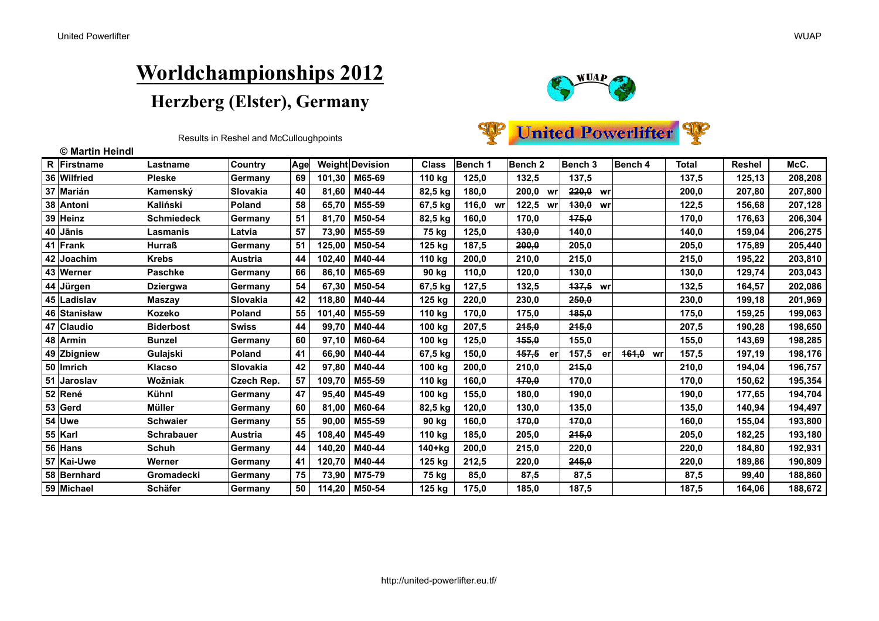$\overline{R}$  $\overline{36}$  $\overline{37}$ 

48

 $\frac{49}{50}$ 

 $\overline{52}$ 

 $\begin{array}{c|c}\n53 \\
\hline\n54 \\
\hline\n55\n\end{array}$ 

 $\overline{56}$  $\overline{\phantom{0}}$  57  $\overline{58}$  $59$ 

## **Worldchampionships 2012** Herzberg (Elster), Germany



**United Powerlifter** 

| © Martin Heindl |                   |                 |             |        |                        |              |                |                    |             |                    |              |        |         |
|-----------------|-------------------|-----------------|-------------|--------|------------------------|--------------|----------------|--------------------|-------------|--------------------|--------------|--------|---------|
| Firstname       | Lastname          | Country         | <b>Agel</b> |        | <b>Weight Devision</b> | <b>Class</b> | <b>Bench 1</b> | Bench <sub>2</sub> | Bench 3     | <b>Bench 4</b>     | <b>Total</b> | Reshel | McC.    |
| Wilfried        | <b>Pleske</b>     | Germany         | 69          | 101,30 | M65-69                 | 110 kg       | 125,0          | 132,5              | 137,5       |                    | 137,5        | 125,13 | 208,208 |
| Marián          | Kamenský          | <b>Slovakia</b> | 40          | 81,60  | M40-44                 | 82,5 kg      | 180,0          | 200,0<br>wr        | $220,0$ wr  |                    | 200,0        | 207,80 | 207,800 |
| Antoni          | Kaliński          | Poland          | 58          | 65,70  | M55-59                 | 67,5 kg      | 116,0<br>wr    | 122,5<br>wr        | 430,0 wr    |                    | 122,5        | 156,68 | 207,128 |
| Heinz           | <b>Schmiedeck</b> | Germany         | 51          | 81,70  | M50-54                 | 82,5 kg      | 160,0          | 170.0              | 175,0       |                    | 170,0        | 176,63 | 206,304 |
| Jānis           | Lasmanis          | Latvia          | 57          | 73,90  | M55-59                 | 75 kg        | 125,0          | 430.0              | 140,0       |                    | 140,0        | 159,04 | 206,275 |
| Frank           | <b>Hurraß</b>     | Germany         | 51          | 125,00 | M50-54                 | 125 kg       | 187,5          | 200.0              | 205,0       |                    | 205,0        | 175,89 | 205,440 |
| Joachim         | <b>Krebs</b>      | Austria         | 44          | 102,40 | M40-44                 | 110 kg       | 200,0          | 210,0              | 215,0       |                    | 215,0        | 195,22 | 203,810 |
| Werner          | <b>Paschke</b>    | Germany         | 66          | 86,10  | M65-69                 | 90 kg        | 110,0          | 120,0              | 130,0       |                    | 130,0        | 129,74 | 203,043 |
| Jürgen          | <b>Dziergwa</b>   | Germany         | 54          | 67,30  | M50-54                 | 67,5 kg      | 127,5          | 132,5              | 137,5 wr    |                    | 132,5        | 164,57 | 202,086 |
| Ladislav        | Maszav            | <b>Slovakia</b> | 42          | 118,80 | M40-44                 | 125 kg       | 220,0          | 230,0              | 250,0       |                    | 230,0        | 199,18 | 201,969 |
| Stanisław       | Kozeko            | Poland          | 55          | 101,40 | M55-59                 | 110 kg       | 170,0          | 175,0              | 185,0       |                    | 175,0        | 159,25 | 199,063 |
| Claudio         | <b>Biderbost</b>  | <b>Swiss</b>    | 44          | 99,70  | M40-44                 | 100 kg       | 207,5          | 245,0              | 245,0       |                    | 207,5        | 190,28 | 198,650 |
| Armin           | <b>Bunzel</b>     | Germany         | 60          | 97,10  | M60-64                 | 100 kg       | 125,0          | <b>155.0</b>       | 155,0       |                    | 155,0        | 143,69 | 198,28  |
| Zbigniew        | Gulajski          | Poland          | 41          | 66,90  | M40-44                 | 67,5 kg      | 150,0          | 157,5<br>er        | 157,5<br>er | <b>161.0</b><br>wr | 157,5        | 197,19 | 198,176 |
| lmrich          | <b>Klacso</b>     | Slovakia        | 42          | 97,80  | M40-44                 | 100 kg       | 200,0          | 210,0              | 245,0       |                    | 210,0        | 194,04 | 196,757 |
| Jaroslav        | Wožniak           | Czech Rep.      | 57          | 109,70 | M55-59                 | 110 kg       | 160,0          | 170.0              | 170,0       |                    | 170,0        | 150,62 | 195,354 |
| René            | <b>Kühnl</b>      | Germany         | 47          | 95,40  | M45-49                 | 100 kg       | 155.0          | 180.0              | 190.0       |                    | 190.0        | 177,65 | 194,704 |
| Gerd            | <b>Müller</b>     | Germany         | 60          | 81,00  | M60-64                 | 82,5 kg      | 120,0          | 130,0              | 135,0       |                    | 135,0        | 140,94 | 194,497 |
| Uwe             | <b>Schwaier</b>   | Germany         | 55          | 90,00  | M55-59                 | 90 kg        | 160.0          | 470.0              | 170,0       |                    | 160.0        | 155,04 | 193,800 |
| Karl            | <b>Schrabauer</b> | Austria         | 45          | 108,40 | M45-49                 | 110 kg       | 185,0          | 205.0              | 215,0       |                    | 205.0        | 182,25 | 193,180 |
| Hans            | <b>Schuh</b>      | Germany         | 44          | 140,20 | M40-44                 | 140+kg       | 200,0          | 215.0              | 220,0       |                    | 220,0        | 184,80 | 192,931 |
| Kai-Uwe         | Werner            | Germany         | 41          | 120,70 | M40-44                 | 125 kg       | 212,5          | 220.0              | 245,0       |                    | 220.0        | 189,86 | 190,809 |
| Bernhard        | Gromadecki        | Germany         | 75          | 73,90  | M75-79                 | 75 kg        | 85,0           | 87,5               | 87,5        |                    | 87,5         | 99,40  | 188,860 |
| Michael         | <b>Schäfer</b>    | <b>Germany</b>  | 50          | 114,20 | M50-54                 | 125 kg       | 175.0          | 185.0              | 187.5       |                    | 187.5        | 164.06 | 188,672 |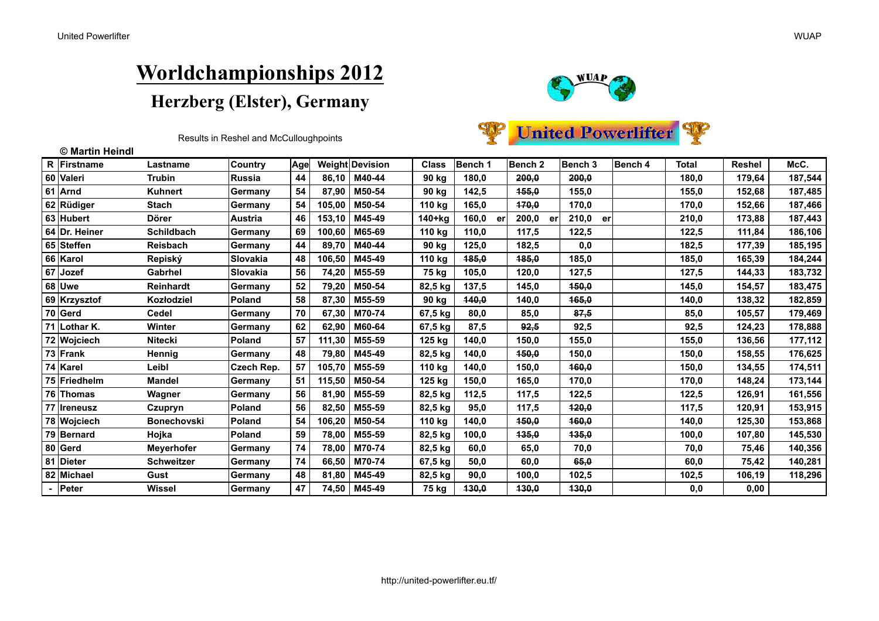



| © Martin Heindl |                    |                 |     |        |                 |              |                |                    |             |         |       |               |         |
|-----------------|--------------------|-----------------|-----|--------|-----------------|--------------|----------------|--------------------|-------------|---------|-------|---------------|---------|
| R Firstname     | Lastname           | <b>Country</b>  | Age |        | Weight Devision | <b>Class</b> | <b>Bench 1</b> | Bench <sub>2</sub> | Bench 3     | Bench 4 | Total | <b>Reshel</b> | McC.    |
| 60 Valeri       | <b>Trubin</b>      | Russia          | 44  | 86,10  | M40-44          | 90 kg        | 180,0          | 200,0              | 200,0       |         | 180,0 | 179,64        | 187,544 |
| 61 Arnd         | <b>Kuhnert</b>     | <b>Germany</b>  | 54  | 87.90  | M50-54          | 90 kg        | 142,5          | 155.0              | 155,0       |         | 155,0 | 152,68        | 187,485 |
| 62 Rüdiger      | <b>Stach</b>       | <b>Germany</b>  | 54  | 105,00 | M50-54          | 110 kg       | 165,0          | 170,0              | 170,0       |         | 170,0 | 152,66        | 187,466 |
| 63 Hubert       | <b>Dörer</b>       | <b>Austria</b>  | 46  | 153,10 | M45-49          | 140+kg       | 160,0<br>er    | 200,0<br>er        | 210,0<br>er |         | 210,0 | 173,88        | 187,443 |
| 64 Dr. Heiner   | <b>Schildbach</b>  | lGermanv        | 69  | 100,60 | M65-69          | 110 kg       | 110,0          | 117,5              | 122,5       |         | 122,5 | 111,84        | 186,106 |
| 65 Steffen      | Reisbach           | <b>Germany</b>  | 44  | 89.70  | M40-44          | 90 kg        | 125,0          | 182,5              | 0,0         |         | 182,5 | 177,39        | 185,195 |
| 66 Karol        | Repiský            | ISlovakia       | 48  | 106,50 | M45-49          | 110 kg       | 185,0          | 185,0              | 185,0       |         | 185,0 | 165,39        | 184,244 |
| 67 Jozef        | Gabrhel            | <b>Slovakia</b> | 56  | 74,20  | M55-59          | 75 kg        | 105,0          | 120,0              | 127,5       |         | 127,5 | 144,33        | 183,732 |
| 68 Uwe          | <b>Reinhardt</b>   | <b>Germany</b>  | 52  | 79,20  | M50-54          | 82,5 kg      | 137,5          | 145,0              | 450,0       |         | 145,0 | 154,57        | 183,475 |
| 69 Krzysztof    | Kozłodziel         | Poland          | 58  | 87,30  | M55-59          | 90 kg        | 140,0          | 140,0              | 465,0       |         | 140,0 | 138,32        | 182,859 |
| $70$ Gerd       | <b>Cedel</b>       | Germany         | 70  | 67.30  | M70-74          | 67,5 kg      | 80,0           | 85,0               | 87.5        |         | 85,0  | 105,57        | 179,469 |
| 71 Lothar K.    | <b>Winter</b>      | Germany         | 62  | 62,90  | M60-64          | 67,5 kg      | 87,5           | 92,5               | 92,5        |         | 92,5  | 124,23        | 178,888 |
| 72 Wojciech     | <b>Nitecki</b>     | Poland          | 57  | 111,30 | M55-59          | 125 kg       | 140,0          | 150,0              | 155,0       |         | 155,0 | 136,56        | 177,112 |
| 73 Frank        | Hennig             | Germany         | 48  | 79,80  | M45-49          | 82,5 kg      | 140,0          | 450,0              | 150,0       |         | 150,0 | 158,55        | 176,625 |
| 74 Karel        | Leibl              | Czech Rep.      | 57  | 105,70 | M55-59          | 110 kg       | 140,0          | 150,0              | 160,0       |         | 150,0 | 134,55        | 174,511 |
| 75 Friedhelm    | <b>Mandel</b>      | Germany         | 51  | 115,50 | M50-54          | 125 kg       | 150,0          | 165,0              | 170,0       |         | 170,0 | 148,24        | 173,144 |
| 76 Thomas       | Wagner             | Germany         | 56  | 81,90  | M55-59          | 82,5 kg      | 112,5          | 117,5              | 122,5       |         | 122,5 | 126,91        | 161,556 |
| 77   Ireneusz   | Czupryn            | Poland          | 56  | 82,50  | M55-59          | 82,5 kg      | 95,0           | 117,5              | 420,0       |         | 117,5 | 120,91        | 153,915 |
| 78 Wojciech     | <b>Bonechovski</b> | <b>Poland</b>   | 54  | 106,20 | M50-54          | 110 kg       | 140,0          | 150,0              | 160,0       |         | 140,0 | 125,30        | 153,868 |
| 79 Bernard      | Hojka              | <b>Poland</b>   | 59  | 78,00  | M55-59          | 82,5 kg      | 100,0          | 135,0              | 135,0       |         | 100,0 | 107.80        | 145,530 |
| 80 Gerd         | <b>Meverhofer</b>  | Germany         | 74  | 78,00  | M70-74          | 82,5 kg      | 60,0           | 65,0               | 70,0        |         | 70,0  | 75,46         | 140,356 |
| 81 Dieter       | <b>Schweitzer</b>  | Germany         | 74  | 66,50  | M70-74          | 67,5 kg      | 50,0           | 60,0               | 65,0        |         | 60,0  | 75,42         | 140,281 |
| 82 Michael      | Gust               | <b>Germany</b>  | 48  | 81,80  | M45-49          | 82,5 kg      | 90,0           | 100.0              | 102,5       |         | 102,5 | 106,19        | 118,296 |
| - Peter         | <b>Wissel</b>      | Germany         | 47  | 74,50  | M45-49          | 75 kg        | 430,0          | 130,0              | 430,0       |         | 0,0   | 0,00          |         |